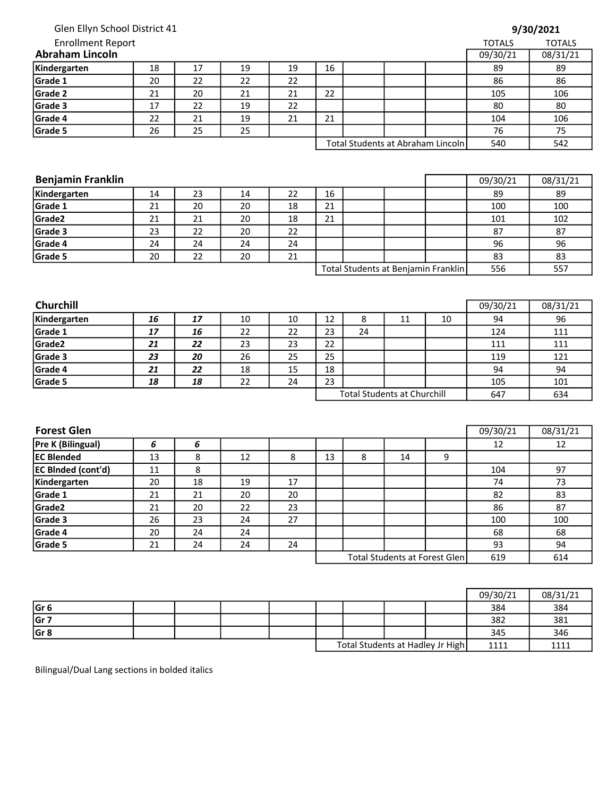Glen Ellyn School District 41

| 9/30/2021 |  |  |  |
|-----------|--|--|--|
|-----------|--|--|--|

| <b>Enrollment Report</b> |    |    |    |    |    |  |                                   | <b>TOTALS</b> | <b>TOTALS</b> |
|--------------------------|----|----|----|----|----|--|-----------------------------------|---------------|---------------|
| <b>Abraham Lincoln</b>   |    |    |    |    |    |  |                                   | 09/30/21      | 08/31/21      |
| Kindergarten             | 18 | 17 | 19 | 19 | 16 |  |                                   | 89            | 89            |
| Grade 1                  | 20 | 22 | 22 | 22 |    |  |                                   | 86            | 86            |
| Grade 2                  | 21 | 20 | 21 | 21 | 22 |  |                                   | 105           | 106           |
| Grade 3                  | 17 | 22 | 19 | 22 |    |  |                                   | 80            | 80            |
| Grade 4                  | 22 | 21 | 19 | 21 | 21 |  |                                   | 104           | 106           |
| Grade 5                  | 26 | 25 | 25 |    |    |  |                                   | 76            | 75            |
|                          |    |    |    |    |    |  | Total Students at Abraham Lincoln | 540           | 542           |

| 24 | TND |
|----|-----|
| 6  |     |
| 10 | 542 |
|    |     |

| <b>Benjamin Franklin</b> |    |    |    |    |                                     |  |  |  | 09/30/21 | 08/31/21 |
|--------------------------|----|----|----|----|-------------------------------------|--|--|--|----------|----------|
| Kindergarten             | 14 | 23 | 14 | 22 | 16                                  |  |  |  | 89       | 89       |
| Grade 1                  | 21 | 20 | 20 | 18 | 21                                  |  |  |  | 100      | 100      |
| Grade <sub>2</sub>       | 21 | 21 | 20 | 18 | 21                                  |  |  |  | 101      | 102      |
| Grade 3                  | 23 | 22 | 20 | 22 |                                     |  |  |  | 87       | 87       |
| Grade 4                  | 24 | 24 | 24 | 24 |                                     |  |  |  | 96       | 96       |
| Grade 5                  | 20 | 22 | 20 | 21 |                                     |  |  |  | 83       | 83       |
|                          |    |    |    |    | Total Students at Benjamin Franklin |  |  |  | 556      | 557      |

| <b>Churchill</b> |    |    |    |    |    |    |                                    |     | 09/30/21 | 08/31/21 |
|------------------|----|----|----|----|----|----|------------------------------------|-----|----------|----------|
| Kindergarten     | 16 | 17 | 10 | 10 | 12 | 8  | 11                                 | 10  | 94       | 96       |
| Grade 1          | 17 | 16 | 22 | 22 | 23 | 24 |                                    |     | 124      | 111      |
| Grade2           | 21 | 22 | 23 | 23 | 22 |    |                                    |     | 111      | 111      |
| Grade 3          | 23 | 20 | 26 | 25 | 25 |    |                                    |     | 119      | 121      |
| Grade 4          | 21 | 22 | 18 | 15 | 18 |    |                                    |     | 94       | 94       |
| Grade 5          | 18 | 18 | 22 | 24 | 23 |    |                                    |     | 105      | 101      |
|                  |    |    |    |    |    |    | <b>Total Students at Churchill</b> | 647 | 634      |          |

| <b>Forest Glen</b>        |    |    |    |    |    |   |                               |     | 09/30/21 | 08/31/21 |
|---------------------------|----|----|----|----|----|---|-------------------------------|-----|----------|----------|
| Pre K (Bilingual)         | 6  | 6  |    |    |    |   |                               |     | 12       | 12       |
| <b>EC Blended</b>         | 13 | 8  | 12 | 8  | 13 | 8 | 14                            | 9   |          |          |
| <b>EC BInded (cont'd)</b> | 11 | 8  |    |    |    |   |                               |     | 104      | 97       |
| Kindergarten              | 20 | 18 | 19 | 17 |    |   |                               |     | 74       | 73       |
| Grade 1                   | 21 | 21 | 20 | 20 |    |   |                               |     | 82       | 83       |
| Grade <sub>2</sub>        | 21 | 20 | 22 | 23 |    |   |                               |     | 86       | 87       |
| Grade 3                   | 26 | 23 | 24 | 27 |    |   |                               |     | 100      | 100      |
| Grade 4                   | 20 | 24 | 24 |    |    |   |                               |     | 68       | 68       |
| Grade 5                   | 21 | 24 | 24 | 24 |    |   |                               |     | 93       | 94       |
|                           |    |    |    |    |    |   | Total Students at Forest Glen | 619 | 614      |          |

|                 |  |  |  |                                  | 09/30/21 | 08/31/21 |
|-----------------|--|--|--|----------------------------------|----------|----------|
| Gr <sub>6</sub> |  |  |  |                                  | 384      | 384      |
| Gr 7            |  |  |  |                                  | 382      | 381      |
| Gr 8            |  |  |  |                                  | 345      | 346      |
|                 |  |  |  | Total Students at Hadley Jr High | 1111     | 1111     |

Bilingual/Dual Lang sections in bolded italics